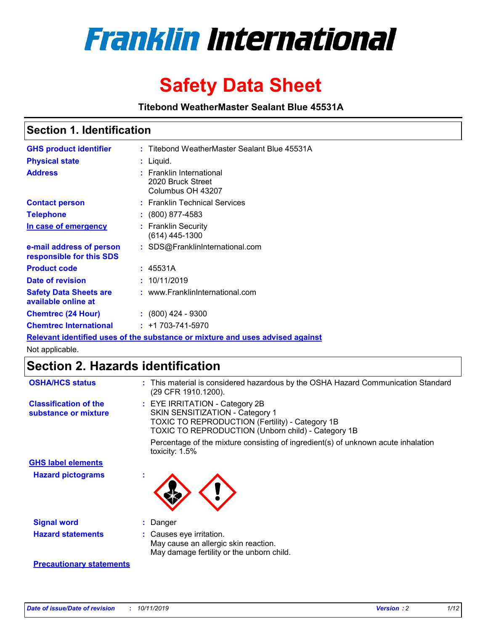

# **Safety Data Sheet**

**Titebond WeatherMaster Sealant Blue 45531A**

### **Section 1. Identification**

| <b>GHS product identifier</b>                        | : Titebond WeatherMaster Sealant Blue 45531A                                  |
|------------------------------------------------------|-------------------------------------------------------------------------------|
| <b>Physical state</b>                                | : Liquid.                                                                     |
| <b>Address</b>                                       | : Franklin International<br>2020 Bruck Street<br>Columbus OH 43207            |
| <b>Contact person</b>                                | : Franklin Technical Services                                                 |
| <b>Telephone</b>                                     | $\div$ (800) 877-4583                                                         |
| In case of emergency                                 | : Franklin Security<br>(614) 445-1300                                         |
| e-mail address of person<br>responsible for this SDS | : SDS@FranklinInternational.com                                               |
| <b>Product code</b>                                  | : 45531A                                                                      |
| Date of revision                                     | : 10/11/2019                                                                  |
| <b>Safety Data Sheets are</b><br>available online at | : www.FranklinInternational.com                                               |
| <b>Chemtrec (24 Hour)</b>                            | $: (800)$ 424 - 9300                                                          |
| <b>Chemtrec International</b>                        | $: +1703 - 741 - 5970$                                                        |
|                                                      | Relevant identified uses of the substance or mixture and uses advised against |

Not applicable.

## **Section 2. Hazards identification**

| <b>OSHA/HCS status</b>                               | : This material is considered hazardous by the OSHA Hazard Communication Standard<br>(29 CFR 1910.1200).                                                                                 |
|------------------------------------------------------|------------------------------------------------------------------------------------------------------------------------------------------------------------------------------------------|
| <b>Classification of the</b><br>substance or mixture | : EYE IRRITATION - Category 2B<br>SKIN SENSITIZATION - Category 1<br><b>TOXIC TO REPRODUCTION (Fertility) - Category 1B</b><br><b>TOXIC TO REPRODUCTION (Unborn child) - Category 1B</b> |
|                                                      | Percentage of the mixture consisting of ingredient(s) of unknown acute inhalation<br>toxicity: $1.5\%$                                                                                   |
| <b>GHS label elements</b>                            |                                                                                                                                                                                          |
| <b>Hazard pictograms</b>                             |                                                                                                                                                                                          |
| <b>Signal word</b>                                   | : Danger                                                                                                                                                                                 |
| <b>Hazard statements</b>                             | : Causes eye irritation.<br>May cause an allergic skin reaction.<br>May damage fertility or the unborn child.                                                                            |
| <b>Precautionary statements</b>                      |                                                                                                                                                                                          |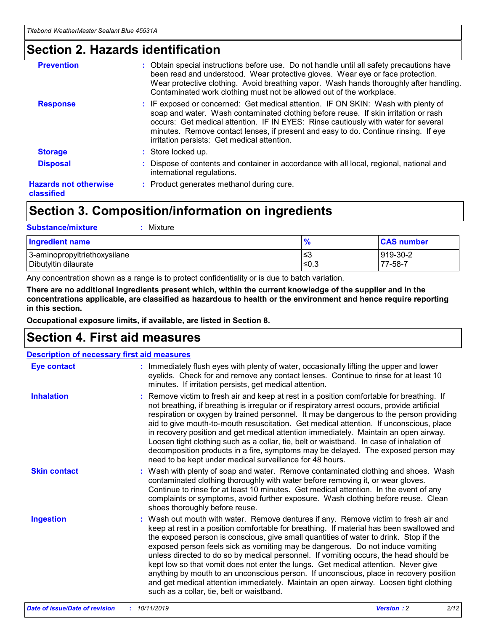### **Section 2. Hazards identification**

| <b>Prevention</b>                          | : Obtain special instructions before use. Do not handle until all safety precautions have<br>been read and understood. Wear protective gloves. Wear eye or face protection.<br>Wear protective clothing. Avoid breathing vapor. Wash hands thoroughly after handling.<br>Contaminated work clothing must not be allowed out of the workplace.                                                        |
|--------------------------------------------|------------------------------------------------------------------------------------------------------------------------------------------------------------------------------------------------------------------------------------------------------------------------------------------------------------------------------------------------------------------------------------------------------|
| <b>Response</b>                            | : IF exposed or concerned: Get medical attention. IF ON SKIN: Wash with plenty of<br>soap and water. Wash contaminated clothing before reuse. If skin irritation or rash<br>occurs: Get medical attention. IF IN EYES: Rinse cautiously with water for several<br>minutes. Remove contact lenses, if present and easy to do. Continue rinsing. If eye<br>irritation persists: Get medical attention. |
| <b>Storage</b>                             | : Store locked up.                                                                                                                                                                                                                                                                                                                                                                                   |
| <b>Disposal</b>                            | : Dispose of contents and container in accordance with all local, regional, national and<br>international regulations.                                                                                                                                                                                                                                                                               |
| <b>Hazards not otherwise</b><br>classified | : Product generates methanol during cure.                                                                                                                                                                                                                                                                                                                                                            |
|                                            |                                                                                                                                                                                                                                                                                                                                                                                                      |

## **Section 3. Composition/information on ingredients**

| <b>Substance/mixture</b><br>Mixture                  |                   |                     |
|------------------------------------------------------|-------------------|---------------------|
| <b>Ingredient name</b>                               | $\frac{9}{6}$     | <b>CAS number</b>   |
| 3-aminopropyltriethoxysilane<br>Dibutyltin dilaurate | l≤3<br>$\leq 0.3$ | 919-30-2<br>77-58-7 |

Any concentration shown as a range is to protect confidentiality or is due to batch variation.

**There are no additional ingredients present which, within the current knowledge of the supplier and in the concentrations applicable, are classified as hazardous to health or the environment and hence require reporting in this section.**

**Occupational exposure limits, if available, are listed in Section 8.**

## **Section 4. First aid measures**

| <b>Description of necessary first aid measures</b> |                                                                                                                                                                                                                                                                                                                                                                                                                                                                                                                                                                                                                                                                                                                                                                           |  |  |  |
|----------------------------------------------------|---------------------------------------------------------------------------------------------------------------------------------------------------------------------------------------------------------------------------------------------------------------------------------------------------------------------------------------------------------------------------------------------------------------------------------------------------------------------------------------------------------------------------------------------------------------------------------------------------------------------------------------------------------------------------------------------------------------------------------------------------------------------------|--|--|--|
| <b>Eye contact</b>                                 | : Immediately flush eyes with plenty of water, occasionally lifting the upper and lower<br>eyelids. Check for and remove any contact lenses. Continue to rinse for at least 10<br>minutes. If irritation persists, get medical attention.                                                                                                                                                                                                                                                                                                                                                                                                                                                                                                                                 |  |  |  |
| <b>Inhalation</b>                                  | : Remove victim to fresh air and keep at rest in a position comfortable for breathing. If<br>not breathing, if breathing is irregular or if respiratory arrest occurs, provide artificial<br>respiration or oxygen by trained personnel. It may be dangerous to the person providing<br>aid to give mouth-to-mouth resuscitation. Get medical attention. If unconscious, place<br>in recovery position and get medical attention immediately. Maintain an open airway.<br>Loosen tight clothing such as a collar, tie, belt or waistband. In case of inhalation of<br>decomposition products in a fire, symptoms may be delayed. The exposed person may<br>need to be kept under medical surveillance for 48 hours.                                                       |  |  |  |
| <b>Skin contact</b>                                | : Wash with plenty of soap and water. Remove contaminated clothing and shoes. Wash<br>contaminated clothing thoroughly with water before removing it, or wear gloves.<br>Continue to rinse for at least 10 minutes. Get medical attention. In the event of any<br>complaints or symptoms, avoid further exposure. Wash clothing before reuse. Clean<br>shoes thoroughly before reuse.                                                                                                                                                                                                                                                                                                                                                                                     |  |  |  |
| <b>Ingestion</b>                                   | : Wash out mouth with water. Remove dentures if any. Remove victim to fresh air and<br>keep at rest in a position comfortable for breathing. If material has been swallowed and<br>the exposed person is conscious, give small quantities of water to drink. Stop if the<br>exposed person feels sick as vomiting may be dangerous. Do not induce vomiting<br>unless directed to do so by medical personnel. If vomiting occurs, the head should be<br>kept low so that vomit does not enter the lungs. Get medical attention. Never give<br>anything by mouth to an unconscious person. If unconscious, place in recovery position<br>and get medical attention immediately. Maintain an open airway. Loosen tight clothing<br>such as a collar, tie, belt or waistband. |  |  |  |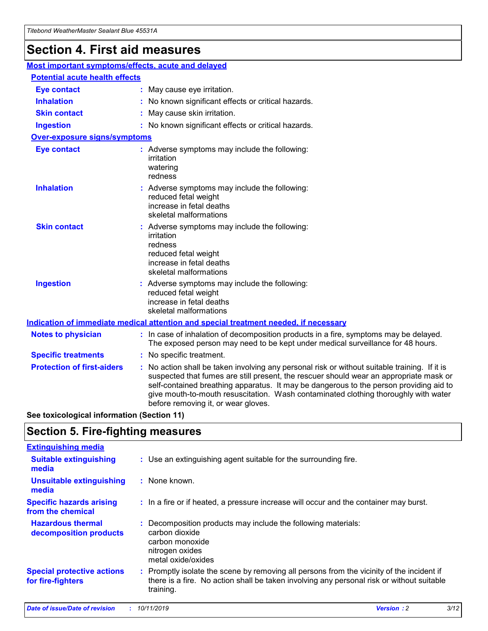## **Section 4. First aid measures**

| Most important symptoms/effects, acute and delayed |  |                                                                                                                                                                                                                                                                                                                                                                                                                 |  |  |
|----------------------------------------------------|--|-----------------------------------------------------------------------------------------------------------------------------------------------------------------------------------------------------------------------------------------------------------------------------------------------------------------------------------------------------------------------------------------------------------------|--|--|
| <b>Potential acute health effects</b>              |  |                                                                                                                                                                                                                                                                                                                                                                                                                 |  |  |
| <b>Eye contact</b>                                 |  | : May cause eye irritation.                                                                                                                                                                                                                                                                                                                                                                                     |  |  |
| <b>Inhalation</b>                                  |  | : No known significant effects or critical hazards.                                                                                                                                                                                                                                                                                                                                                             |  |  |
| <b>Skin contact</b>                                |  | : May cause skin irritation.                                                                                                                                                                                                                                                                                                                                                                                    |  |  |
| <b>Ingestion</b>                                   |  | : No known significant effects or critical hazards.                                                                                                                                                                                                                                                                                                                                                             |  |  |
| Over-exposure signs/symptoms                       |  |                                                                                                                                                                                                                                                                                                                                                                                                                 |  |  |
| <b>Eye contact</b>                                 |  | : Adverse symptoms may include the following:<br>irritation<br>watering<br>redness                                                                                                                                                                                                                                                                                                                              |  |  |
| <b>Inhalation</b>                                  |  | : Adverse symptoms may include the following:<br>reduced fetal weight<br>increase in fetal deaths<br>skeletal malformations                                                                                                                                                                                                                                                                                     |  |  |
| <b>Skin contact</b>                                |  | : Adverse symptoms may include the following:<br>irritation<br>redness<br>reduced fetal weight<br>increase in fetal deaths<br>skeletal malformations                                                                                                                                                                                                                                                            |  |  |
| <b>Ingestion</b>                                   |  | : Adverse symptoms may include the following:<br>reduced fetal weight<br>increase in fetal deaths<br>skeletal malformations                                                                                                                                                                                                                                                                                     |  |  |
|                                                    |  | <b>Indication of immediate medical attention and special treatment needed, if necessary</b>                                                                                                                                                                                                                                                                                                                     |  |  |
| <b>Notes to physician</b>                          |  | : In case of inhalation of decomposition products in a fire, symptoms may be delayed.<br>The exposed person may need to be kept under medical surveillance for 48 hours.                                                                                                                                                                                                                                        |  |  |
| <b>Specific treatments</b>                         |  | : No specific treatment.                                                                                                                                                                                                                                                                                                                                                                                        |  |  |
| <b>Protection of first-aiders</b>                  |  | : No action shall be taken involving any personal risk or without suitable training. If it is<br>suspected that fumes are still present, the rescuer should wear an appropriate mask or<br>self-contained breathing apparatus. It may be dangerous to the person providing aid to<br>give mouth-to-mouth resuscitation. Wash contaminated clothing thoroughly with water<br>before removing it, or wear gloves. |  |  |

**See toxicological information (Section 11)**

### **Section 5. Fire-fighting measures**

| <b>Extinguishing media</b>                             |                                                                                                                                                                                                     |
|--------------------------------------------------------|-----------------------------------------------------------------------------------------------------------------------------------------------------------------------------------------------------|
| <b>Suitable extinguishing</b><br>media                 | : Use an extinguishing agent suitable for the surrounding fire.                                                                                                                                     |
| <b>Unsuitable extinguishing</b><br>media               | : None known.                                                                                                                                                                                       |
| <b>Specific hazards arising</b><br>from the chemical   | : In a fire or if heated, a pressure increase will occur and the container may burst.                                                                                                               |
| <b>Hazardous thermal</b><br>decomposition products     | : Decomposition products may include the following materials:<br>carbon dioxide<br>carbon monoxide<br>nitrogen oxides<br>metal oxide/oxides                                                         |
| <b>Special protective actions</b><br>for fire-fighters | : Promptly isolate the scene by removing all persons from the vicinity of the incident if<br>there is a fire. No action shall be taken involving any personal risk or without suitable<br>training. |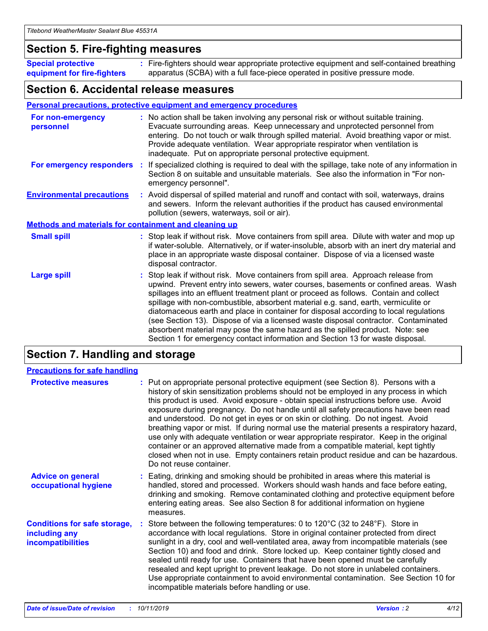#### **Section 5. Fire-fighting measures**

**Special protective equipment for fire-fighters** Fire-fighters should wear appropriate protective equipment and self-contained breathing **:** apparatus (SCBA) with a full face-piece operated in positive pressure mode.

#### **Section 6. Accidental release measures**

#### **Personal precautions, protective equipment and emergency procedures**

| For non-emergency<br>personnel                               | : No action shall be taken involving any personal risk or without suitable training.<br>Evacuate surrounding areas. Keep unnecessary and unprotected personnel from<br>entering. Do not touch or walk through spilled material. Avoid breathing vapor or mist.<br>Provide adequate ventilation. Wear appropriate respirator when ventilation is<br>inadequate. Put on appropriate personal protective equipment.                                                                                                                                                                                                                                                                                             |
|--------------------------------------------------------------|--------------------------------------------------------------------------------------------------------------------------------------------------------------------------------------------------------------------------------------------------------------------------------------------------------------------------------------------------------------------------------------------------------------------------------------------------------------------------------------------------------------------------------------------------------------------------------------------------------------------------------------------------------------------------------------------------------------|
|                                                              | For emergency responders : If specialized clothing is required to deal with the spillage, take note of any information in<br>Section 8 on suitable and unsuitable materials. See also the information in "For non-<br>emergency personnel".                                                                                                                                                                                                                                                                                                                                                                                                                                                                  |
| <b>Environmental precautions</b>                             | : Avoid dispersal of spilled material and runoff and contact with soil, waterways, drains<br>and sewers. Inform the relevant authorities if the product has caused environmental<br>pollution (sewers, waterways, soil or air).                                                                                                                                                                                                                                                                                                                                                                                                                                                                              |
| <b>Methods and materials for containment and cleaning up</b> |                                                                                                                                                                                                                                                                                                                                                                                                                                                                                                                                                                                                                                                                                                              |
| <b>Small spill</b>                                           | : Stop leak if without risk. Move containers from spill area. Dilute with water and mop up<br>if water-soluble. Alternatively, or if water-insoluble, absorb with an inert dry material and<br>place in an appropriate waste disposal container. Dispose of via a licensed waste<br>disposal contractor.                                                                                                                                                                                                                                                                                                                                                                                                     |
| <b>Large spill</b>                                           | : Stop leak if without risk. Move containers from spill area. Approach release from<br>upwind. Prevent entry into sewers, water courses, basements or confined areas. Wash<br>spillages into an effluent treatment plant or proceed as follows. Contain and collect<br>spillage with non-combustible, absorbent material e.g. sand, earth, vermiculite or<br>diatomaceous earth and place in container for disposal according to local regulations<br>(see Section 13). Dispose of via a licensed waste disposal contractor. Contaminated<br>absorbent material may pose the same hazard as the spilled product. Note: see<br>Section 1 for emergency contact information and Section 13 for waste disposal. |

## **Section 7. Handling and storage**

| <b>Precautions for safe handling</b>                                             |                                                                                                                                                                                                                                                                                                                                                                                                                                                                                                                                                                                                                                                                                                                                                                                                                                                  |
|----------------------------------------------------------------------------------|--------------------------------------------------------------------------------------------------------------------------------------------------------------------------------------------------------------------------------------------------------------------------------------------------------------------------------------------------------------------------------------------------------------------------------------------------------------------------------------------------------------------------------------------------------------------------------------------------------------------------------------------------------------------------------------------------------------------------------------------------------------------------------------------------------------------------------------------------|
| <b>Protective measures</b>                                                       | : Put on appropriate personal protective equipment (see Section 8). Persons with a<br>history of skin sensitization problems should not be employed in any process in which<br>this product is used. Avoid exposure - obtain special instructions before use. Avoid<br>exposure during pregnancy. Do not handle until all safety precautions have been read<br>and understood. Do not get in eyes or on skin or clothing. Do not ingest. Avoid<br>breathing vapor or mist. If during normal use the material presents a respiratory hazard,<br>use only with adequate ventilation or wear appropriate respirator. Keep in the original<br>container or an approved alternative made from a compatible material, kept tightly<br>closed when not in use. Empty containers retain product residue and can be hazardous.<br>Do not reuse container. |
| <b>Advice on general</b><br>occupational hygiene                                 | : Eating, drinking and smoking should be prohibited in areas where this material is<br>handled, stored and processed. Workers should wash hands and face before eating,<br>drinking and smoking. Remove contaminated clothing and protective equipment before<br>entering eating areas. See also Section 8 for additional information on hygiene<br>measures.                                                                                                                                                                                                                                                                                                                                                                                                                                                                                    |
| <b>Conditions for safe storage,</b><br>including any<br><b>incompatibilities</b> | Store between the following temperatures: 0 to 120 $\degree$ C (32 to 248 $\degree$ F). Store in<br>accordance with local regulations. Store in original container protected from direct<br>sunlight in a dry, cool and well-ventilated area, away from incompatible materials (see<br>Section 10) and food and drink. Store locked up. Keep container tightly closed and<br>sealed until ready for use. Containers that have been opened must be carefully<br>resealed and kept upright to prevent leakage. Do not store in unlabeled containers.<br>Use appropriate containment to avoid environmental contamination. See Section 10 for<br>incompatible materials before handling or use.                                                                                                                                                     |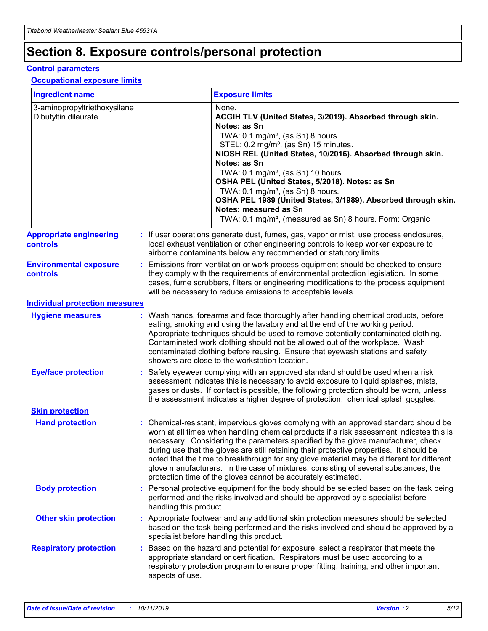## **Section 8. Exposure controls/personal protection**

#### **Control parameters**

#### **Occupational exposure limits**

| <b>Ingredient name</b>                               |    |                                          | <b>Exposure limits</b>                                                                                                                                                                                                                                                                                                                                                                                                                                                                                                                                                                                                 |
|------------------------------------------------------|----|------------------------------------------|------------------------------------------------------------------------------------------------------------------------------------------------------------------------------------------------------------------------------------------------------------------------------------------------------------------------------------------------------------------------------------------------------------------------------------------------------------------------------------------------------------------------------------------------------------------------------------------------------------------------|
| 3-aminopropyltriethoxysilane<br>Dibutyltin dilaurate |    |                                          | None.<br>ACGIH TLV (United States, 3/2019). Absorbed through skin.<br>Notes: as Sn<br>TWA: 0.1 mg/m <sup>3</sup> , (as Sn) 8 hours.<br>STEL: 0.2 mg/m <sup>3</sup> , (as Sn) 15 minutes.<br>NIOSH REL (United States, 10/2016). Absorbed through skin.<br>Notes: as Sn<br>TWA: 0.1 mg/m <sup>3</sup> , (as Sn) 10 hours.<br>OSHA PEL (United States, 5/2018). Notes: as Sn<br>TWA: $0.1 \text{ mg/m}^3$ , (as Sn) 8 hours.<br>OSHA PEL 1989 (United States, 3/1989). Absorbed through skin.<br>Notes: measured as Sn<br>TWA: 0.1 mg/m <sup>3</sup> , (measured as Sn) 8 hours. Form: Organic                           |
| <b>Appropriate engineering</b><br>controls           |    |                                          | : If user operations generate dust, fumes, gas, vapor or mist, use process enclosures,<br>local exhaust ventilation or other engineering controls to keep worker exposure to<br>airborne contaminants below any recommended or statutory limits.                                                                                                                                                                                                                                                                                                                                                                       |
| <b>Environmental exposure</b><br><b>controls</b>     |    |                                          | Emissions from ventilation or work process equipment should be checked to ensure<br>they comply with the requirements of environmental protection legislation. In some<br>cases, fume scrubbers, filters or engineering modifications to the process equipment<br>will be necessary to reduce emissions to acceptable levels.                                                                                                                                                                                                                                                                                          |
| <b>Individual protection measures</b>                |    |                                          |                                                                                                                                                                                                                                                                                                                                                                                                                                                                                                                                                                                                                        |
| <b>Hygiene measures</b>                              |    |                                          | : Wash hands, forearms and face thoroughly after handling chemical products, before<br>eating, smoking and using the lavatory and at the end of the working period.<br>Appropriate techniques should be used to remove potentially contaminated clothing.<br>Contaminated work clothing should not be allowed out of the workplace. Wash<br>contaminated clothing before reusing. Ensure that eyewash stations and safety<br>showers are close to the workstation location.                                                                                                                                            |
| <b>Eye/face protection</b>                           |    |                                          | : Safety eyewear complying with an approved standard should be used when a risk<br>assessment indicates this is necessary to avoid exposure to liquid splashes, mists,<br>gases or dusts. If contact is possible, the following protection should be worn, unless<br>the assessment indicates a higher degree of protection: chemical splash goggles.                                                                                                                                                                                                                                                                  |
| <b>Skin protection</b>                               |    |                                          |                                                                                                                                                                                                                                                                                                                                                                                                                                                                                                                                                                                                                        |
| <b>Hand protection</b>                               |    |                                          | : Chemical-resistant, impervious gloves complying with an approved standard should be<br>worn at all times when handling chemical products if a risk assessment indicates this is<br>necessary. Considering the parameters specified by the glove manufacturer, check<br>during use that the gloves are still retaining their protective properties. It should be<br>noted that the time to breakthrough for any glove material may be different for different<br>glove manufacturers. In the case of mixtures, consisting of several substances, the<br>protection time of the gloves cannot be accurately estimated. |
| <b>Body protection</b>                               |    | handling this product.                   | Personal protective equipment for the body should be selected based on the task being<br>performed and the risks involved and should be approved by a specialist before                                                                                                                                                                                                                                                                                                                                                                                                                                                |
| <b>Other skin protection</b>                         |    | specialist before handling this product. | : Appropriate footwear and any additional skin protection measures should be selected<br>based on the task being performed and the risks involved and should be approved by a                                                                                                                                                                                                                                                                                                                                                                                                                                          |
| <b>Respiratory protection</b>                        | ÷. | aspects of use.                          | Based on the hazard and potential for exposure, select a respirator that meets the<br>appropriate standard or certification. Respirators must be used according to a<br>respiratory protection program to ensure proper fitting, training, and other important                                                                                                                                                                                                                                                                                                                                                         |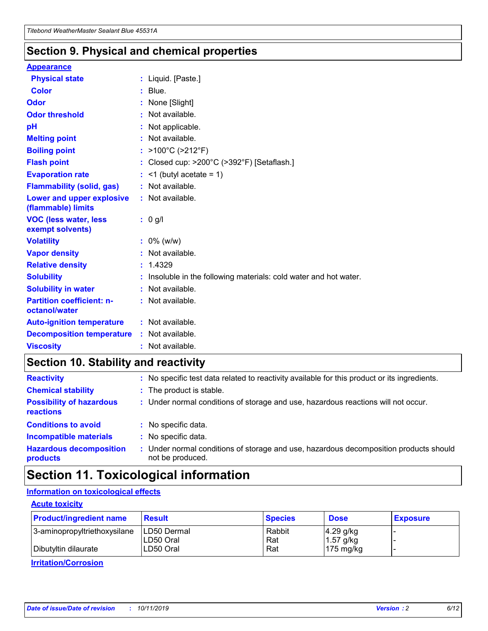### **Section 9. Physical and chemical properties**

#### **Appearance**

| <b>Physical state</b>                             | : Liquid. [Paste.]                                              |
|---------------------------------------------------|-----------------------------------------------------------------|
| Color                                             | $:$ Blue.                                                       |
| Odor                                              | : None [Slight]                                                 |
| <b>Odor threshold</b>                             | $:$ Not available.                                              |
| рH                                                | : Not applicable.                                               |
| <b>Melting point</b>                              | : Not available.                                                |
| <b>Boiling point</b>                              | : >100°C (>212°F)                                               |
| <b>Flash point</b>                                | : Closed cup: >200°C (>392°F) [Setaflash.]                      |
| <b>Evaporation rate</b>                           | $:$ <1 (butyl acetate = 1)                                      |
| <b>Flammability (solid, gas)</b>                  | : Not available.                                                |
| Lower and upper explosive<br>(flammable) limits   | $:$ Not available.                                              |
| <b>VOC (less water, less</b><br>exempt solvents)  | : 0 g/l                                                         |
| <b>Volatility</b>                                 | $: 0\%$ (w/w)                                                   |
| <b>Vapor density</b>                              | : Not available.                                                |
| <b>Relative density</b>                           | : 1.4329                                                        |
| <b>Solubility</b>                                 | Insoluble in the following materials: cold water and hot water. |
| <b>Solubility in water</b>                        | : Not available.                                                |
| <b>Partition coefficient: n-</b><br>octanol/water | $:$ Not available.                                              |
| <b>Auto-ignition temperature</b>                  | : Not available.                                                |
|                                                   |                                                                 |
| <b>Decomposition temperature</b>                  | : Not available.                                                |

## **Section 10. Stability and reactivity**

| <b>Reactivity</b>                            |    | : No specific test data related to reactivity available for this product or its ingredients.            |
|----------------------------------------------|----|---------------------------------------------------------------------------------------------------------|
| <b>Chemical stability</b>                    |    | : The product is stable.                                                                                |
| <b>Possibility of hazardous</b><br>reactions |    | : Under normal conditions of storage and use, hazardous reactions will not occur.                       |
| <b>Conditions to avoid</b>                   |    | : No specific data.                                                                                     |
| <b>Incompatible materials</b>                | ٠. | No specific data.                                                                                       |
| <b>Hazardous decomposition</b><br>products   | ÷. | Under normal conditions of storage and use, hazardous decomposition products should<br>not be produced. |

## **Section 11. Toxicological information**

#### **Information on toxicological effects**

#### **Acute toxicity**

| <b>Product/ingredient name</b> | <b>Result</b>           | <b>Species</b> | <b>Dose</b>                | <b>Exposure</b> |
|--------------------------------|-------------------------|----------------|----------------------------|-----------------|
| 3-aminopropyltriethoxysilane   | <b>ILD50 Dermal</b>     | Rabbit         | 4.29 g/kg                  |                 |
| Dibutyltin dilaurate           | ILD50 Oral<br>LD50 Oral | Rat<br>Rat     | $1.57$ g/kg<br>175 $mg/kg$ |                 |
|                                |                         |                |                            |                 |

**Irritation/Corrosion**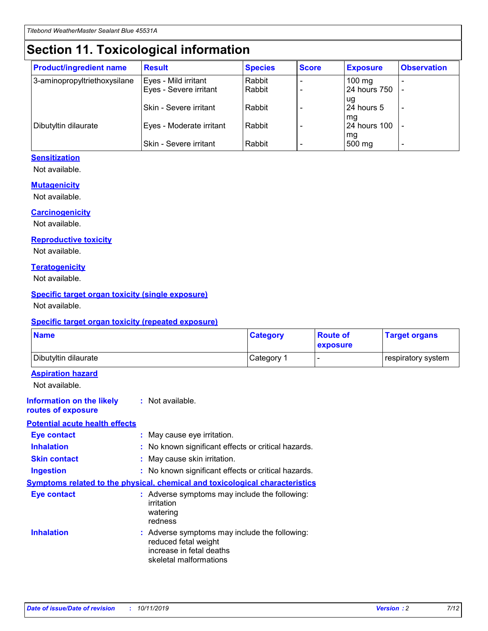## **Section 11. Toxicological information**

| <b>Product/ingredient name</b> | <b>Result</b>                 | <b>Species</b> | <b>Score</b> | <b>Exposure</b>    | <b>Observation</b> |
|--------------------------------|-------------------------------|----------------|--------------|--------------------|--------------------|
| 3-aminopropyltriethoxysilane   | Eyes - Mild irritant          | Rabbit         |              | $100$ mg           |                    |
|                                | Eyes - Severe irritant        | Rabbit         |              | 24 hours 750       |                    |
|                                |                               |                |              | ug                 |                    |
|                                | <b>Skin - Severe irritant</b> | Rabbit         |              | 24 hours 5         | ٠                  |
| Dibutyltin dilaurate           | Eyes - Moderate irritant      | Rabbit         |              | mq<br>24 hours 100 |                    |
|                                |                               |                |              | mg                 |                    |
|                                | Skin - Severe irritant        | Rabbit         |              | 500 mg             |                    |

#### **Sensitization**

Not available.

#### **Mutagenicity**

Not available.

#### **Carcinogenicity**

Not available.

#### **Reproductive toxicity**

Not available.

#### **Teratogenicity**

Not available.

#### **Specific target organ toxicity (single exposure)**

Not available.

#### **Specific target organ toxicity (repeated exposure)**

| <b>Name</b>                                                                         |                                                                            | <b>Category</b>                                     | <b>Route of</b><br>exposure | <b>Target organs</b> |
|-------------------------------------------------------------------------------------|----------------------------------------------------------------------------|-----------------------------------------------------|-----------------------------|----------------------|
| Dibutyltin dilaurate                                                                |                                                                            | Category 1                                          | $\overline{\phantom{0}}$    | respiratory system   |
| <b>Aspiration hazard</b><br>Not available.                                          |                                                                            |                                                     |                             |                      |
| <b>Information on the likely</b><br>routes of exposure                              | : Not available.                                                           |                                                     |                             |                      |
| <b>Potential acute health effects</b>                                               |                                                                            |                                                     |                             |                      |
| <b>Eye contact</b>                                                                  | : May cause eye irritation.                                                |                                                     |                             |                      |
| <b>Inhalation</b>                                                                   |                                                                            | : No known significant effects or critical hazards. |                             |                      |
| <b>Skin contact</b>                                                                 | : May cause skin irritation.                                               |                                                     |                             |                      |
| <b>Ingestion</b>                                                                    |                                                                            | : No known significant effects or critical hazards. |                             |                      |
| <b>Symptoms related to the physical, chemical and toxicological characteristics</b> |                                                                            |                                                     |                             |                      |
| <b>Eye contact</b>                                                                  | irritation<br>watering<br>redness                                          | : Adverse symptoms may include the following:       |                             |                      |
| <b>Inhalation</b>                                                                   | reduced fetal weight<br>increase in fetal deaths<br>skeletal malformations | : Adverse symptoms may include the following:       |                             |                      |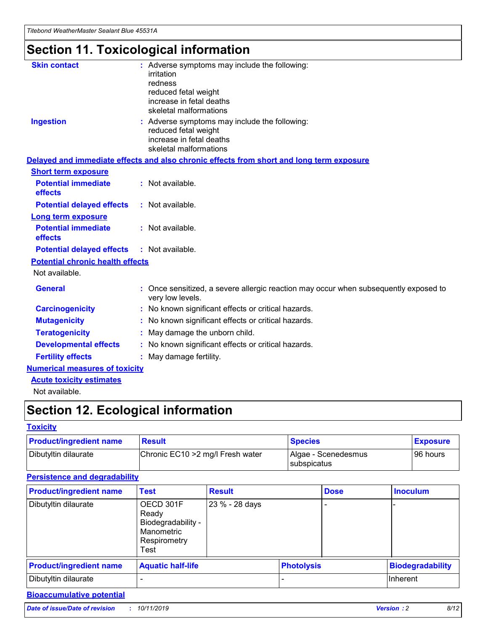## **Section 11. Toxicological information**

| <b>Skin contact</b>                     | : Adverse symptoms may include the following:<br>irritation<br>redness<br>reduced fetal weight<br>increase in fetal deaths<br>skeletal malformations |
|-----------------------------------------|------------------------------------------------------------------------------------------------------------------------------------------------------|
| <b>Ingestion</b>                        | : Adverse symptoms may include the following:<br>reduced fetal weight<br>increase in fetal deaths<br>skeletal malformations                          |
|                                         | Delayed and immediate effects and also chronic effects from short and long term exposure                                                             |
| <b>Short term exposure</b>              |                                                                                                                                                      |
| <b>Potential immediate</b><br>effects   | : Not available.                                                                                                                                     |
| <b>Potential delayed effects</b>        | : Not available.                                                                                                                                     |
| <b>Long term exposure</b>               |                                                                                                                                                      |
| <b>Potential immediate</b><br>effects   | : Not available.                                                                                                                                     |
| <b>Potential delayed effects</b>        | : Not available.                                                                                                                                     |
| <b>Potential chronic health effects</b> |                                                                                                                                                      |
| Not available.                          |                                                                                                                                                      |
| <b>General</b>                          | : Once sensitized, a severe allergic reaction may occur when subsequently exposed to<br>very low levels.                                             |
| <b>Carcinogenicity</b>                  | : No known significant effects or critical hazards.                                                                                                  |
| <b>Mutagenicity</b>                     | No known significant effects or critical hazards.                                                                                                    |
| <b>Teratogenicity</b>                   | May damage the unborn child.                                                                                                                         |
| <b>Developmental effects</b>            | No known significant effects or critical hazards.                                                                                                    |
| <b>Fertility effects</b>                | : May damage fertility.                                                                                                                              |
| <b>Numerical measures of toxicity</b>   |                                                                                                                                                      |
| <b>Acute toxicity estimates</b>         |                                                                                                                                                      |
|                                         |                                                                                                                                                      |

Not available.

## **Section 12. Ecological information**

#### **Toxicity**

| <b>Product/ingredient name</b> | <b>Result</b>                     | <b>Species</b>                       | <b>Exposure</b> |
|--------------------------------|-----------------------------------|--------------------------------------|-----------------|
| Dibutyltin dilaurate           | Chronic EC10 > 2 mg/l Fresh water | Algae - Scenedesmus<br>I subspicatus | l 96 hours      |

#### **Persistence and degradability**

| <b>Product/ingredient name</b> | <b>Test</b>                                                                    | <b>Result</b>  |  | <b>Dose</b>       | <b>Inoculum</b>         |
|--------------------------------|--------------------------------------------------------------------------------|----------------|--|-------------------|-------------------------|
| Dibutyltin dilaurate           | OECD 301F<br>Ready<br>Biodegradability -<br>Manometric<br>Respirometry<br>Test | 23 % - 28 days |  |                   |                         |
| <b>Product/ingredient name</b> | <b>Aquatic half-life</b>                                                       |                |  | <b>Photolysis</b> | <b>Biodegradability</b> |
| Dibutyltin dilaurate           |                                                                                |                |  |                   | Inherent                |

#### **Bioaccumulative potential**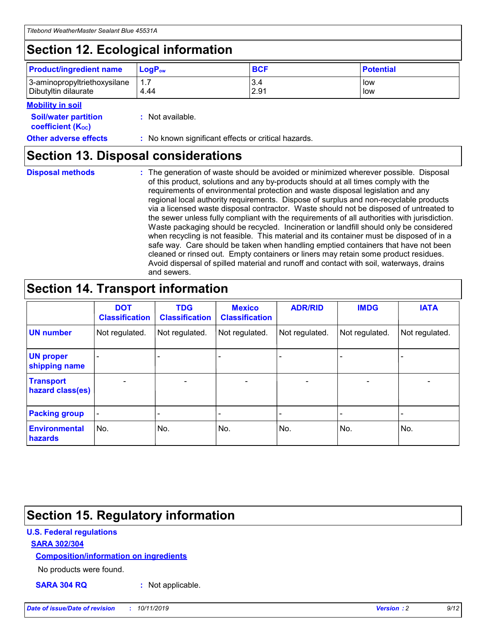## **Section 12. Ecological information**

| <b>Product/ingredient name</b> | $LoaPow$ | <b>BCF</b> | <b>Potential</b> |
|--------------------------------|----------|------------|------------------|
| 3-aminopropyltriethoxysilane   | 1.7      | 3.4        | low              |
| Dibutyltin dilaurate           | 4.44     | 2.91       | low              |

#### **Mobility in soil**

| <b>Soil/water partition</b><br>coefficient (K <sub>oc</sub> ) | : Not available.                                    |
|---------------------------------------------------------------|-----------------------------------------------------|
| <b>Other adverse effects</b>                                  | : No known significant effects or critical hazards. |

### **Section 13. Disposal considerations**

**Disposal methods :**

The generation of waste should be avoided or minimized wherever possible. Disposal of this product, solutions and any by-products should at all times comply with the requirements of environmental protection and waste disposal legislation and any regional local authority requirements. Dispose of surplus and non-recyclable products via a licensed waste disposal contractor. Waste should not be disposed of untreated to the sewer unless fully compliant with the requirements of all authorities with jurisdiction. Waste packaging should be recycled. Incineration or landfill should only be considered when recycling is not feasible. This material and its container must be disposed of in a safe way. Care should be taken when handling emptied containers that have not been cleaned or rinsed out. Empty containers or liners may retain some product residues. Avoid dispersal of spilled material and runoff and contact with soil, waterways, drains and sewers.

## **Section 14. Transport information**

|                                      | <b>DOT</b><br><b>Classification</b> | <b>TDG</b><br><b>Classification</b> | <b>Mexico</b><br><b>Classification</b> | <b>ADR/RID</b>               | <b>IMDG</b>    | <b>IATA</b>              |
|--------------------------------------|-------------------------------------|-------------------------------------|----------------------------------------|------------------------------|----------------|--------------------------|
| <b>UN number</b>                     | Not regulated.                      | Not regulated.                      | Not regulated.                         | Not regulated.               | Not regulated. | Not regulated.           |
| <b>UN proper</b><br>shipping name    |                                     |                                     |                                        |                              |                |                          |
| <b>Transport</b><br>hazard class(es) | $\blacksquare$                      | $\overline{\phantom{0}}$            | $\overline{\phantom{a}}$               | $\qquad \qquad \blacksquare$ | $\blacksquare$ | $\overline{\phantom{0}}$ |
| <b>Packing group</b>                 | $\overline{\phantom{a}}$            | -                                   |                                        | -                            |                | -                        |
| <b>Environmental</b><br>hazards      | No.                                 | No.                                 | No.                                    | No.                          | No.            | No.                      |

## **Section 15. Regulatory information**

#### **U.S. Federal regulations**

#### **SARA 302/304**

#### **Composition/information on ingredients**

No products were found.

**SARA 304 RQ :** Not applicable.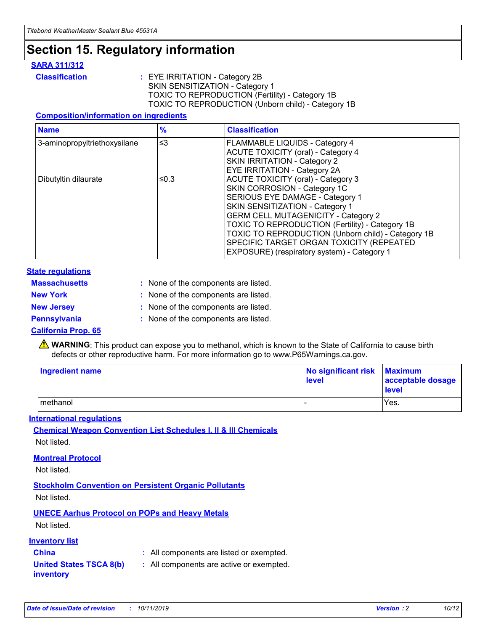## **Section 15. Regulatory information**

#### **SARA 311/312**

**Classification :** EYE IRRITATION - Category 2B SKIN SENSITIZATION - Category 1 TOXIC TO REPRODUCTION (Fertility) - Category 1B TOXIC TO REPRODUCTION (Unborn child) - Category 1B

#### **Composition/information on ingredients**

| <b>Name</b>                  | $\frac{9}{6}$ | <b>Classification</b>                                                                                            |
|------------------------------|---------------|------------------------------------------------------------------------------------------------------------------|
| 3-aminopropyltriethoxysilane | $\leq$ 3      | <b>FLAMMABLE LIQUIDS - Category 4</b><br><b>ACUTE TOXICITY (oral) - Category 4</b>                               |
|                              |               | SKIN IRRITATION - Category 2<br>EYE IRRITATION - Category 2A                                                     |
| Dibutyltin dilaurate         | ≤0.3          | ACUTE TOXICITY (oral) - Category 3<br>SKIN CORROSION - Category 1C                                               |
|                              |               | SERIOUS EYE DAMAGE - Category 1<br>SKIN SENSITIZATION - Category 1<br><b>GERM CELL MUTAGENICITY - Category 2</b> |
|                              |               | TOXIC TO REPRODUCTION (Fertility) - Category 1B<br>TOXIC TO REPRODUCTION (Unborn child) - Category 1B            |
|                              |               | SPECIFIC TARGET ORGAN TOXICITY (REPEATED<br>EXPOSURE) (respiratory system) - Category 1                          |

#### **State regulations**

| <b>Massachusetts</b> | : None of the components are listed. |
|----------------------|--------------------------------------|
| <b>New York</b>      | : None of the components are listed. |
| <b>New Jersey</b>    | : None of the components are listed. |
| <b>Pennsylvania</b>  | : None of the components are listed. |

#### **California Prop. 65**

**A** WARNING: This product can expose you to methanol, which is known to the State of California to cause birth defects or other reproductive harm. For more information go to www.P65Warnings.ca.gov.

| <b>Ingredient name</b> | No significant risk Maximum<br>level | acceptable dosage<br>level |
|------------------------|--------------------------------------|----------------------------|
| methanol               |                                      | Yes.                       |

#### **International regulations**

**Chemical Weapon Convention List Schedules I, II & III Chemicals** Not listed.

#### **Montreal Protocol**

Not listed.

#### **Stockholm Convention on Persistent Organic Pollutants**

Not listed.

#### **UNECE Aarhus Protocol on POPs and Heavy Metals**

Not listed.

#### **Inventory list**

### **China :** All components are listed or exempted.

**United States TSCA 8(b) inventory :** All components are active or exempted.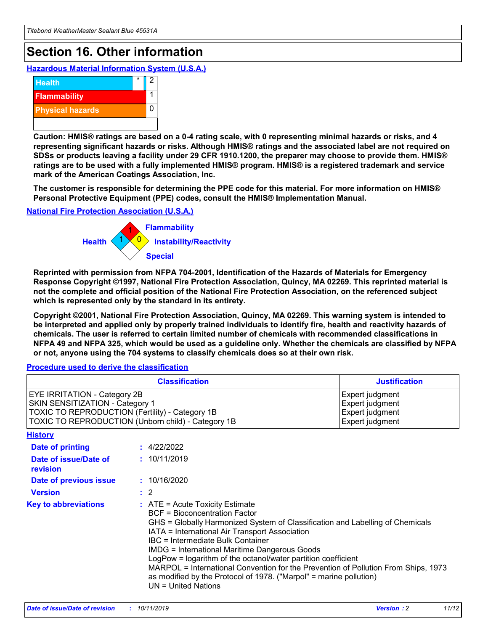## **Section 16. Other information**

**Hazardous Material Information System (U.S.A.)**



**Caution: HMIS® ratings are based on a 0-4 rating scale, with 0 representing minimal hazards or risks, and 4 representing significant hazards or risks. Although HMIS® ratings and the associated label are not required on SDSs or products leaving a facility under 29 CFR 1910.1200, the preparer may choose to provide them. HMIS® ratings are to be used with a fully implemented HMIS® program. HMIS® is a registered trademark and service mark of the American Coatings Association, Inc.**

**The customer is responsible for determining the PPE code for this material. For more information on HMIS® Personal Protective Equipment (PPE) codes, consult the HMIS® Implementation Manual.**

#### **National Fire Protection Association (U.S.A.)**



**Reprinted with permission from NFPA 704-2001, Identification of the Hazards of Materials for Emergency Response Copyright ©1997, National Fire Protection Association, Quincy, MA 02269. This reprinted material is not the complete and official position of the National Fire Protection Association, on the referenced subject which is represented only by the standard in its entirety.**

**Copyright ©2001, National Fire Protection Association, Quincy, MA 02269. This warning system is intended to be interpreted and applied only by properly trained individuals to identify fire, health and reactivity hazards of chemicals. The user is referred to certain limited number of chemicals with recommended classifications in NFPA 49 and NFPA 325, which would be used as a guideline only. Whether the chemicals are classified by NFPA or not, anyone using the 704 systems to classify chemicals does so at their own risk.**

**Procedure used to derive the classification**

| <b>Classification</b>                                                                                                                                                    |                                                                                                                                                  | <b>Justification</b>                                                                                                                                                                                                                                                                                                                                                                                                 |  |
|--------------------------------------------------------------------------------------------------------------------------------------------------------------------------|--------------------------------------------------------------------------------------------------------------------------------------------------|----------------------------------------------------------------------------------------------------------------------------------------------------------------------------------------------------------------------------------------------------------------------------------------------------------------------------------------------------------------------------------------------------------------------|--|
| EYE IRRITATION - Category 2B<br>SKIN SENSITIZATION - Category 1<br>TOXIC TO REPRODUCTION (Fertility) - Category 1B<br>TOXIC TO REPRODUCTION (Unborn child) - Category 1B |                                                                                                                                                  | Expert judgment<br>Expert judgment<br>Expert judgment<br>Expert judgment                                                                                                                                                                                                                                                                                                                                             |  |
| <b>History</b>                                                                                                                                                           |                                                                                                                                                  |                                                                                                                                                                                                                                                                                                                                                                                                                      |  |
| Date of printing                                                                                                                                                         | : 4/22/2022                                                                                                                                      |                                                                                                                                                                                                                                                                                                                                                                                                                      |  |
| Date of issue/Date of<br>revision                                                                                                                                        | : 10/11/2019                                                                                                                                     |                                                                                                                                                                                                                                                                                                                                                                                                                      |  |
| Date of previous issue                                                                                                                                                   | : 10/16/2020                                                                                                                                     |                                                                                                                                                                                                                                                                                                                                                                                                                      |  |
| <b>Version</b>                                                                                                                                                           | $\therefore$ 2                                                                                                                                   |                                                                                                                                                                                                                                                                                                                                                                                                                      |  |
| <b>Key to abbreviations</b>                                                                                                                                              | $\therefore$ ATE = Acute Toxicity Estimate<br><b>BCF</b> = Bioconcentration Factor<br>IBC = Intermediate Bulk Container<br>$UN = United Nations$ | GHS = Globally Harmonized System of Classification and Labelling of Chemicals<br>IATA = International Air Transport Association<br><b>IMDG = International Maritime Dangerous Goods</b><br>LogPow = logarithm of the octanol/water partition coefficient<br>MARPOL = International Convention for the Prevention of Pollution From Ships, 1973<br>as modified by the Protocol of 1978. ("Marpol" = marine pollution) |  |